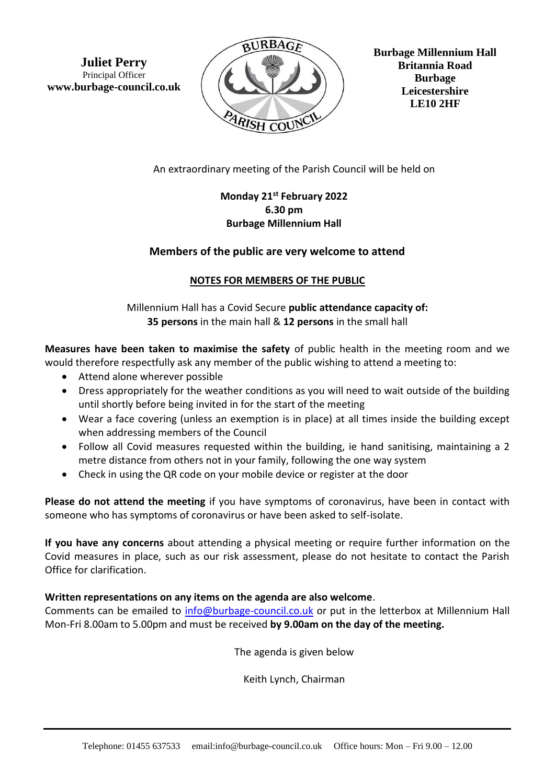**Juliet Perry** Principal Officer **www.burbage-council.co.uk**



**Burbage Millennium Hall Britannia Road Burbage Leicestershire LE10 2HF**

An extraordinary meeting of the Parish Council will be held on

# **Monday 21st February 2022 6.30 pm Burbage Millennium Hall**

## **Members of the public are very welcome to attend**

## **NOTES FOR MEMBERS OF THE PUBLIC**

Millennium Hall has a Covid Secure **public attendance capacity of: 35 persons** in the main hall & **12 persons** in the small hall

**Measures have been taken to maximise the safety** of public health in the meeting room and we would therefore respectfully ask any member of the public wishing to attend a meeting to:

- Attend alone wherever possible
- Dress appropriately for the weather conditions as you will need to wait outside of the building until shortly before being invited in for the start of the meeting
- Wear a face covering (unless an exemption is in place) at all times inside the building except when addressing members of the Council
- Follow all Covid measures requested within the building, ie hand sanitising, maintaining a 2 metre distance from others not in your family, following the one way system
- Check in using the QR code on your mobile device or register at the door

**Please do not attend the meeting** if you have symptoms of coronavirus, have been in contact with someone who has symptoms of coronavirus or have been asked to self-isolate.

**If you have any concerns** about attending a physical meeting or require further information on the Covid measures in place, such as our risk assessment, please do not hesitate to contact the Parish Office for clarification.

#### **Written representations on any items on the agenda are also welcome**.

Comments can be emailed to [info@burbage-council.co.uk](mailto:info@burbage-council.co.uk) or put in the letterbox at Millennium Hall Mon-Fri 8.00am to 5.00pm and must be received **by 9.00am on the day of the meeting.**

The agenda is given below

Keith Lynch, Chairman